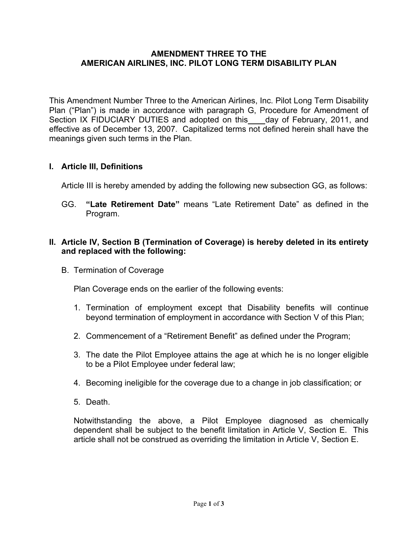### **AMENDMENT THREE TO THE AMERICAN AIRLINES, INC. PILOT LONG TERM DISABILITY PLAN**

This Amendment Number Three to the American Airlines, Inc. Pilot Long Term Disability Plan ("Plan") is made in accordance with paragraph G, Procedure for Amendment of Section IX FIDUCIARY DUTIES and adopted on this day of February, 2011, and effective as of December 13, 2007. Capitalized terms not defined herein shall have the meanings given such terms in the Plan.

# **I. Article III, Definitions**

Article III is hereby amended by adding the following new subsection GG, as follows:

GG. **"Late Retirement Date"** means "Late Retirement Date" as defined in the Program.

# **II. Article IV, Section B (Termination of Coverage) is hereby deleted in its entirety and replaced with the following:**

B. Termination of Coverage

Plan Coverage ends on the earlier of the following events:

- 1. Termination of employment except that Disability benefits will continue beyond termination of employment in accordance with Section V of this Plan;
- 2. Commencement of a "Retirement Benefit" as defined under the Program;
- 3. The date the Pilot Employee attains the age at which he is no longer eligible to be a Pilot Employee under federal law;
- 4. Becoming ineligible for the coverage due to a change in job classification; or
- 5. Death.

Notwithstanding the above, a Pilot Employee diagnosed as chemically dependent shall be subject to the benefit limitation in Article V, Section E. This article shall not be construed as overriding the limitation in Article V, Section E.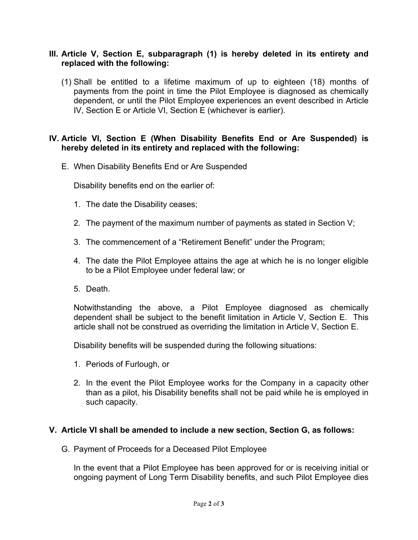### **III. Article V, Section E, subparagraph (1) is hereby deleted in its entirety and replaced with the following:**

(1) Shall be entitled to a lifetime maximum of up to eighteen (18) months of payments from the point in time the Pilot Employee is diagnosed as chemically dependent, or until the Pilot Employee experiences an event described in Article IV, Section E or Article VI, Section E (whichever is earlier).

# **IV. Article VI, Section E (When Disability Benefits End or Are Suspended) is hereby deleted in its entirety and replaced with the following:**

E. When Disability Benefits End or Are Suspended

Disability benefits end on the earlier of:

- 1. The date the Disability ceases;
- 2. The payment of the maximum number of payments as stated in Section V;
- 3. The commencement of a "Retirement Benefit" under the Program;
- 4. The date the Pilot Employee attains the age at which he is no longer eligible to be a Pilot Employee under federal law; or
- 5. Death.

Notwithstanding the above, a Pilot Employee diagnosed as chemically dependent shall be subject to the benefit limitation in Article V, Section E. This article shall not be construed as overriding the limitation in Article V, Section E.

Disability benefits will be suspended during the following situations:

- 1. Periods of Furlough, or
- 2. In the event the Pilot Employee works for the Company in a capacity other than as a pilot, his Disability benefits shall not be paid while he is employed in such capacity.

### **V. Article VI shall be amended to include a new section, Section G, as follows:**

G. Payment of Proceeds for a Deceased Pilot Employee

In the event that a Pilot Employee has been approved for or is receiving initial or ongoing payment of Long Term Disability benefits, and such Pilot Employee dies